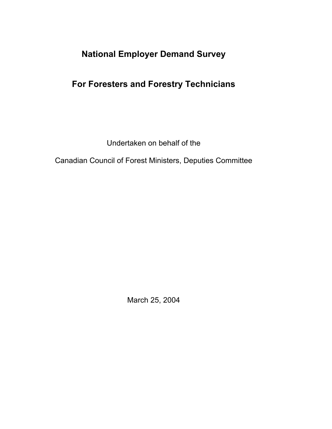# **National Employer Demand Survey**

# **For Foresters and Forestry Technicians**

Undertaken on behalf of the

Canadian Council of Forest Ministers, Deputies Committee

March 25, 2004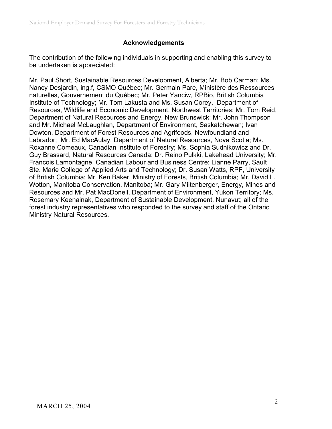# **Acknowledgements**

The contribution of the following individuals in supporting and enabling this survey to be undertaken is appreciated:

Mr. Paul Short, Sustainable Resources Development, Alberta; Mr. Bob Carman; Ms. Nancy Desjardin, ing.f, CSMO Québec; Mr. Germain Pare, Ministère des Ressources naturelles, Gouvernement du Québec; Mr. Peter Yanciw, RPBio, British Columbia Institute of Technology; Mr. Tom Lakusta and Ms. Susan Corey, Department of Resources, Wildlife and Economic Development, Northwest Territories; Mr. Tom Reid, Department of Natural Resources and Energy, New Brunswick; Mr. John Thompson and Mr. Michael McLaughlan, Department of Environment, Saskatchewan; Ivan Dowton, Department of Forest Resources and Agrifoods, Newfoundland and Labrador; Mr. Ed MacAulay, Department of Natural Resources, Nova Scotia; Ms. Roxanne Comeaux, Canadian Institute of Forestry; Ms. Sophia Sudnikowicz and Dr. Guy Brassard, Natural Resources Canada; Dr. Reino Pulkki, Lakehead University; Mr. Francois Lamontagne, Canadian Labour and Business Centre; Lianne Parry, Sault Ste. Marie College of Applied Arts and Technology; Dr. Susan Watts, RPF, University of British Columbia; Mr. Ken Baker, Ministry of Forests, British Columbia; Mr. David L. Wotton, Manitoba Conservation, Manitoba; Mr. Gary Miltenberger, Energy, Mines and Resources and Mr. Pat MacDonell, Department of Environment, Yukon Territory; Ms. Rosemary Keenainak, Department of Sustainable Development, Nunavut; all of the forest industry representatives who responded to the survey and staff of the Ontario Ministry Natural Resources.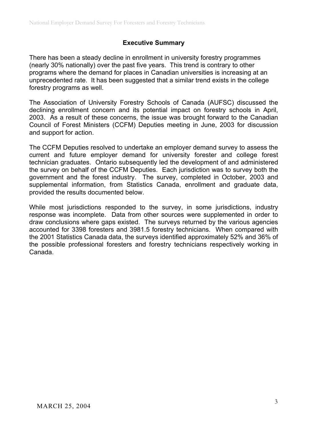# **Executive Summary**

There has been a steady decline in enrollment in university forestry programmes (nearly 30% nationally) over the past five years. This trend is contrary to other programs where the demand for places in Canadian universities is increasing at an unprecedented rate. It has been suggested that a similar trend exists in the college forestry programs as well.

The Association of University Forestry Schools of Canada (AUFSC) discussed the declining enrollment concern and its potential impact on forestry schools in April, 2003. As a result of these concerns, the issue was brought forward to the Canadian Council of Forest Ministers (CCFM) Deputies meeting in June, 2003 for discussion and support for action.

The CCFM Deputies resolved to undertake an employer demand survey to assess the current and future employer demand for university forester and college forest technician graduates. Ontario subsequently led the development of and administered the survey on behalf of the CCFM Deputies. Each jurisdiction was to survey both the government and the forest industry. The survey, completed in October, 2003 and supplemental information, from Statistics Canada, enrollment and graduate data, provided the results documented below.

While most jurisdictions responded to the survey, in some jurisdictions, industry response was incomplete. Data from other sources were supplemented in order to draw conclusions where gaps existed. The surveys returned by the various agencies accounted for 3398 foresters and 3981.5 forestry technicians. When compared with the 2001 Statistics Canada data, the surveys identified approximately 52% and 36% of the possible professional foresters and forestry technicians respectively working in Canada.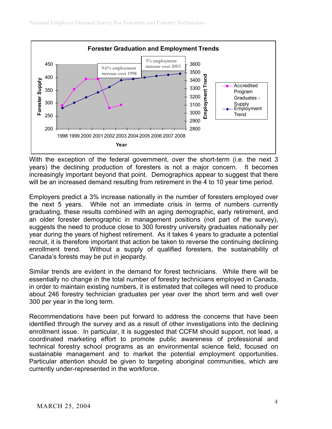

With the exception of the federal government, over the short-term (i.e. the next 3 years) the declining production of foresters is not a major concern. It becomes increasingly important beyond that point. Demographics appear to suggest that there will be an increased demand resulting from retirement in the 4 to 10 year time period.

Employers predict a 3% increase nationally in the number of foresters employed over the next 5 years. While not an immediate crisis in terms of numbers currently graduating, these results combined with an aging demographic, early retirement, and an older forester demographic in management positions (not part of the survey), suggests the need to produce close to 300 forestry university graduates nationally per year during the years of highest retirement. As it takes 4 years to graduate a potential recruit, it is therefore important that action be taken to reverse the continuing declining enrollment trend. Without a supply of qualified foresters, the sustainability of Canada's forests may be put in jeopardy.

Similar trends are evident in the demand for forest technicians. While there will be essentially no change in the total number of forestry technicians employed in Canada, in order to maintain existing numbers, it is estimated that colleges will need to produce about 246 forestry technician graduates per year over the short term and well over 300 per year in the long term.

Recommendations have been put forward to address the concerns that have been identified through the survey and as a result of other investigations into the declining enrollment issue. In particular, it is suggested that CCFM should support, not lead, a coordinated marketing effort to promote public awareness of professional and technical forestry school programs as an environmental science field, focused on sustainable management and to market the potential employment opportunities. Particular attention should be given to targeting aboriginal communities, which are currently under-represented in the workforce.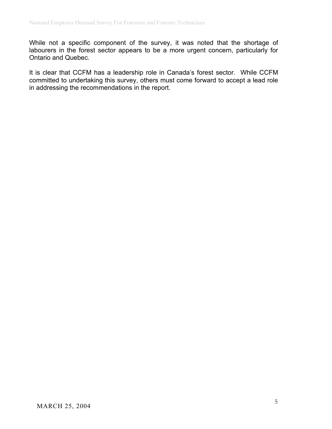While not a specific component of the survey, it was noted that the shortage of labourers in the forest sector appears to be a more urgent concern, particularly for Ontario and Quebec.

It is clear that CCFM has a leadership role in Canada's forest sector. While CCFM committed to undertaking this survey, others must come forward to accept a lead role in addressing the recommendations in the report.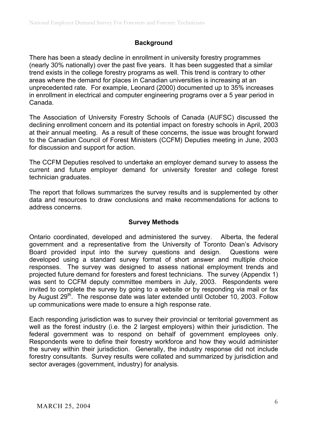### **Background**

There has been a steady decline in enrollment in university forestry programmes (nearly 30% nationally) over the past five years. It has been suggested that a similar trend exists in the college forestry programs as well. This trend is contrary to other areas where the demand for places in Canadian universities is increasing at an unprecedented rate. For example, Leonard (2000) documented up to 35% increases in enrollment in electrical and computer engineering programs over a 5 year period in Canada.

The Association of University Forestry Schools of Canada (AUFSC) discussed the declining enrollment concern and its potential impact on forestry schools in April, 2003 at their annual meeting. As a result of these concerns, the issue was brought forward to the Canadian Council of Forest Ministers (CCFM) Deputies meeting in June, 2003 for discussion and support for action.

The CCFM Deputies resolved to undertake an employer demand survey to assess the current and future employer demand for university forester and college forest technician graduates.

The report that follows summarizes the survey results and is supplemented by other data and resources to draw conclusions and make recommendations for actions to address concerns.

# **Survey Methods**

Ontario coordinated, developed and administered the survey. Alberta, the federal government and a representative from the University of Toronto Dean's Advisory Board provided input into the survey questions and design. Questions were developed using a standard survey format of short answer and multiple choice responses. The survey was designed to assess national employment trends and projected future demand for foresters and forest technicians. The survey (Appendix 1) was sent to CCFM deputy committee members in July, 2003. Respondents were invited to complete the survey by going to a website or by responding via mail or fax by August 29<sup>th</sup>. The response date was later extended until October 10, 2003. Follow up communications were made to ensure a high response rate.

Each responding jurisdiction was to survey their provincial or territorial government as well as the forest industry (i.e. the 2 largest employers) within their jurisdiction. The federal government was to respond on behalf of government employees only. Respondents were to define their forestry workforce and how they would administer the survey within their jurisdiction. Generally, the industry response did not include forestry consultants. Survey results were collated and summarized by jurisdiction and sector averages (government, industry) for analysis.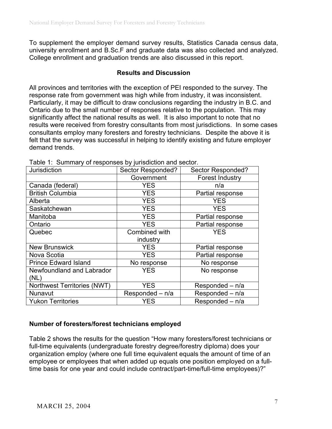To supplement the employer demand survey results, Statistics Canada census data, university enrollment and B.Sc.F and graduate data was also collected and analyzed. College enrollment and graduation trends are also discussed in this report.

### **Results and Discussion**

All provinces and territories with the exception of PEI responded to the survey. The response rate from government was high while from industry, it was inconsistent. Particularly, it may be difficult to draw conclusions regarding the industry in B.C. and Ontario due to the small number of responses relative to the population. This may significantly affect the national results as well. It is also important to note that no results were received from forestry consultants from most jurisdictions. In some cases consultants employ many foresters and forestry technicians. Despite the above it is felt that the survey was successful in helping to identify existing and future employer demand trends.

| Jurisdiction                | Sector Responded? | Sector Responded? |
|-----------------------------|-------------------|-------------------|
|                             | Government        | Forest Industry   |
| Canada (federal)            | <b>YES</b>        | n/a               |
| <b>British Columbia</b>     | <b>YES</b>        | Partial response  |
| Alberta                     | <b>YES</b>        | <b>YES</b>        |
| Saskatchewan                | <b>YES</b>        | <b>YES</b>        |
| Manitoba                    | <b>YES</b>        | Partial response  |
| Ontario                     | <b>YES</b>        | Partial response  |
| Quebec                      | Combined with     | <b>YES</b>        |
|                             | industry          |                   |
| <b>New Brunswick</b>        | <b>YES</b>        | Partial response  |
| Nova Scotia                 | <b>YES</b>        | Partial response  |
| <b>Prince Edward Island</b> | No response       | No response       |
| Newfoundland and Labrador   | <b>YES</b>        | No response       |
| (NL)                        |                   |                   |
| Northwest Territories (NWT) | <b>YES</b>        | Responded - n/a   |
| Nunavut                     | Responded - n/a   | Responded - n/a   |
| <b>Yukon Territories</b>    | YES               | Responded - n/a   |

Table 1: Summary of responses by jurisdiction and sector.

# **Number of foresters/forest technicians employed**

Table 2 shows the results for the question "How many foresters/forest technicians or full-time equivalents (undergraduate forestry degree/forestry diploma) does your organization employ (where one full time equivalent equals the amount of time of an employee or employees that when added up equals one position employed on a fulltime basis for one year and could include contract/part-time/full-time employees)?"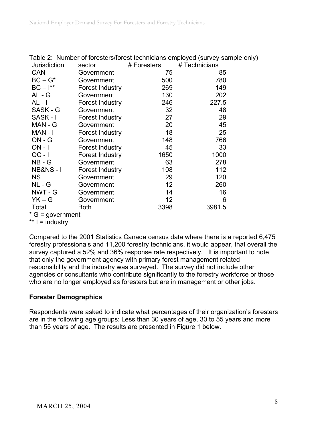|                     |                 |                 | Table 2:  Number of foresters/forest technicians employed (survey sample only |
|---------------------|-----------------|-----------------|-------------------------------------------------------------------------------|
| <b>Jurisdiction</b> | sector          | # Foresters     | # Technicians                                                                 |
| <b>CAN</b>          | Government      | 75              | 85                                                                            |
| $BC - G^*$          | Government      | 500             | 780                                                                           |
| $BC - I^{**}$       | Forest Industry | 269             | 149                                                                           |
| AL - G              | Government      | 130             | 202                                                                           |
| AL - I              | Forest Industry | 246             | 227.5                                                                         |
| SASK - G            | Government      | 32 <sub>2</sub> | 48                                                                            |
| SASK-I              | Forest Industry | 27              | 29                                                                            |
| MAN - G             | Government      | 20              | 45                                                                            |
| MAN - I             | Forest Industry | 18              | 25                                                                            |
| $ON - G$            | Government      | 148             | 766                                                                           |
| $ON - I$            | Forest Industry | 45              | 33                                                                            |
| $QC - I$            | Forest Industry | 1650            | 1000                                                                          |
| $NB - G$            | Government      | 63              | 278                                                                           |
| <b>NB&amp;NS-1</b>  | Forest Industry | 108             | 112                                                                           |
| <b>NS</b>           | Government      | 29              | 120                                                                           |
| $NL - G$            | Government      | 12 <sup>2</sup> | 260                                                                           |
| NWT - G             | Government      | 14              | 16                                                                            |
| $YK - G$            | Government      | 12 <sub>2</sub> | 6                                                                             |
| Total               | <b>Both</b>     | 3398            | 3981.5                                                                        |
| $*$ G = government  |                 |                 |                                                                               |
|                     |                 |                 |                                                                               |

Table 2: Number of foresters/forest technicians employed (survey sample only)

 $** I = industry$ 

Compared to the 2001 Statistics Canada census data where there is a reported 6,475 forestry professionals and 11,200 forestry technicians, it would appear, that overall the survey captured a 52% and 36% response rate respectively. It is important to note that only the government agency with primary forest management related responsibility and the industry was surveyed. The survey did not include other agencies or consultants who contribute significantly to the forestry workforce or those who are no longer employed as foresters but are in management or other jobs.

# **Forester Demographics**

Respondents were asked to indicate what percentages of their organization's foresters are in the following age groups: Less than 30 years of age, 30 to 55 years and more than 55 years of age. The results are presented in Figure 1 below.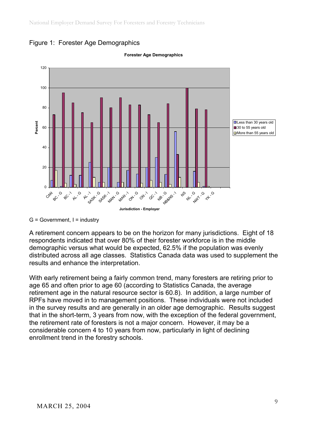



#### **Forester Age Demographics**

 $G = Government$ , I = industry

A retirement concern appears to be on the horizon for many jurisdictions. Eight of 18 respondents indicated that over 80% of their forester workforce is in the middle demographic versus what would be expected, 62.5% if the population was evenly distributed across all age classes. Statistics Canada data was used to supplement the results and enhance the interpretation.

With early retirement being a fairly common trend, many foresters are retiring prior to age 65 and often prior to age 60 (according to Statistics Canada, the average retirement age in the natural resource sector is 60.8). In addition, a large number of RPFs have moved in to management positions. These individuals were not included in the survey results and are generally in an older age demographic. Results suggest that in the short-term, 3 years from now, with the exception of the federal government, the retirement rate of foresters is not a major concern. However, it may be a considerable concern 4 to 10 years from now, particularly in light of declining enrollment trend in the forestry schools.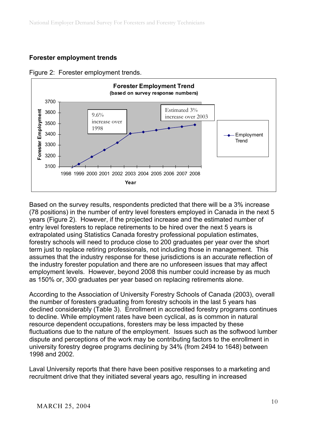# **Forester employment trends**



Figure 2: Forester employment trends.

Based on the survey results, respondents predicted that there will be a 3% increase (78 positions) in the number of entry level foresters employed in Canada in the next 5 years (Figure 2). However, if the projected increase and the estimated number of entry level foresters to replace retirements to be hired over the next 5 years is extrapolated using Statistics Canada forestry professional population estimates, forestry schools will need to produce close to 200 graduates per year over the short term just to replace retiring professionals, not including those in management. This assumes that the industry response for these jurisdictions is an accurate reflection of the industry forester population and there are no unforeseen issues that may affect employment levels. However, beyond 2008 this number could increase by as much as 150% or, 300 graduates per year based on replacing retirements alone.

According to the Association of University Forestry Schools of Canada (2003), overall the number of foresters graduating from forestry schools in the last 5 years has declined considerably (Table 3). Enrollment in accredited forestry programs continues to decline. While employment rates have been cyclical, as is common in natural resource dependent occupations, foresters may be less impacted by these fluctuations due to the nature of the employment. Issues such as the softwood lumber dispute and perceptions of the work may be contributing factors to the enrollment in university forestry degree programs declining by 34% (from 2494 to 1648) between 1998 and 2002.

Laval University reports that there have been positive responses to a marketing and recruitment drive that they initiated several years ago, resulting in increased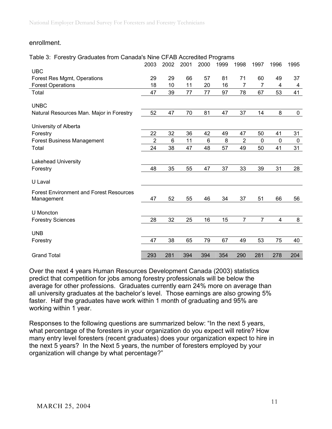### enrollment.

#### Table 3: Forestry Graduates from Canada's Nine CFAB Accredited Programs

|                                                | 2003           | 2002 | 2001 | 2000           | 1999 | 1998           | 1997           | 1996        | 1995        |
|------------------------------------------------|----------------|------|------|----------------|------|----------------|----------------|-------------|-------------|
| <b>UBC</b>                                     |                |      |      |                |      |                |                |             |             |
| Forest Res Mgmt, Operations                    | 29             | 29   | 66   | 57             | 81   | 71             | 60             | 49          | 37          |
| <b>Forest Operations</b>                       | 18             | 10   | 11   | 20             | 16   | $\overline{7}$ | $\overline{7}$ | 4           | 4           |
| Total                                          | 47             | 39   | 77   | 77             | 97   | 78             | 67             | 53          | 41          |
| <b>UNBC</b>                                    |                |      |      |                |      |                |                |             |             |
| Natural Resources Man. Major in Forestry       | 52             | 47   | 70   | 81             | 47   | 37             | 14             | 8           | $\mathbf 0$ |
| University of Alberta                          |                |      |      |                |      |                |                |             |             |
| Forestry                                       | 22             | 32   | 36   | 42             | 49   | 47             | 50             | 41          | 31          |
| <b>Forest Business Management</b>              | $\overline{2}$ | 6    | 11   | $6\phantom{1}$ | 8    | $\overline{2}$ | $\mathbf 0$    | $\mathbf 0$ | $\mathbf 0$ |
| Total                                          | 24             | 38   | 47   | 48             | 57   | 49             | 50             | 41          | 31          |
| Lakehead University                            |                |      |      |                |      |                |                |             |             |
| Forestry                                       | 48             | 35   | 55   | 47             | 37   | 33             | 39             | 31          | 28          |
| U Laval                                        |                |      |      |                |      |                |                |             |             |
| <b>Forest Environment and Forest Resources</b> |                |      |      |                |      |                |                |             |             |
| Management                                     | 47             | 52   | 55   | 46             | 34   | 37             | 51             | 66          | 56          |
| U Moncton                                      |                |      |      |                |      |                |                |             |             |
| <b>Forestry Sciences</b>                       | 28             | 32   | 25   | 16             | 15   | $\overline{7}$ | $\overline{7}$ | 4           | 8           |
| <b>UNB</b>                                     |                |      |      |                |      |                |                |             |             |
| Forestry                                       | 47             | 38   | 65   | 79             | 67   | 49             | 53             | 75          | 40          |
| <b>Grand Total</b>                             | 293            | 281  | 394  | 394            | 354  | 290            | 281            | 278         | 204         |

Over the next 4 years Human Resources Development Canada (2003) statistics predict that competition for jobs among forestry professionals will be below the average for other professions. Graduates currently earn 24% more on average than all university graduates at the bachelor's level. Those earnings are also growing 5% faster. Half the graduates have work within 1 month of graduating and 95% are working within 1 year.

Responses to the following questions are summarized below: "In the next 5 years, what percentage of the foresters in your organization do you expect will retire? How many entry level foresters (recent graduates) does your organization expect to hire in the next 5 years? In the Next 5 years, the number of foresters employed by your organization will change by what percentage?"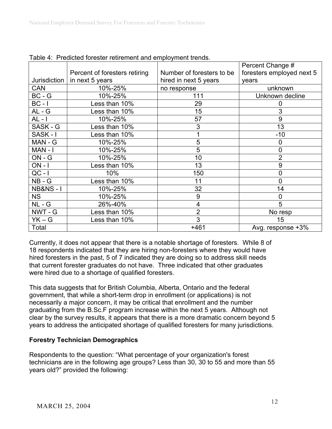|                    |                               |                           | Percent Change #          |
|--------------------|-------------------------------|---------------------------|---------------------------|
|                    | Percent of foresters retiring | Number of foresters to be | foresters employed next 5 |
| Jurisdiction       | in next 5 years               | hired in next 5 years     | years                     |
| <b>CAN</b>         | 10%-25%                       | no response               | unknown                   |
| $BC - G$           | 10%-25%                       | 111                       | Unknown decline           |
| $BC - I$           | Less than 10%                 | 29                        | 0                         |
| $AL - G$           | Less than 10%                 | 15                        | 3                         |
| $AL - I$           | 10%-25%                       | 57                        | 9                         |
| SASK - G           | Less than 10%                 | 3                         | 13                        |
| SASK-I             | Less than 10%                 |                           | $-10$                     |
| MAN - G            | 10%-25%                       | 5                         | 0                         |
| MAN - I            | 10%-25%                       | 5                         | $\mathbf 0$               |
| $ON - G$           | 10%-25%                       | 10                        | $\overline{2}$            |
| $ON - I$           | Less than 10%                 | 13                        | 9                         |
| $QC - I$           | 10%                           | 150                       | $\overline{0}$            |
| $NB - G$           | Less than 10%                 | 11                        | $\overline{0}$            |
| <b>NB&amp;NS-1</b> | 10%-25%                       | 32                        | 14                        |
| <b>NS</b>          | 10%-25%                       | 9                         | 0                         |
| $NL - G$           | 26%-40%                       | 4                         | 5                         |
| NWT - G            | Less than 10%                 | $\overline{2}$            | No resp                   |
| $YK - G$           | Less than 10%                 | 3                         | 15                        |
| Total              |                               | $+461$                    | Avg. response $+3\%$      |

|  |  |  | Table 4: Predicted forester retirement and employment trends. |
|--|--|--|---------------------------------------------------------------|
|  |  |  |                                                               |

Currently, it does not appear that there is a notable shortage of foresters. While 8 of 18 respondents indicated that they are hiring non-foresters where they would have hired foresters in the past, 5 of 7 indicated they are doing so to address skill needs that current forester graduates do not have. Three indicated that other graduates were hired due to a shortage of qualified foresters.

This data suggests that for British Columbia, Alberta, Ontario and the federal government, that while a short-term drop in enrollment (or applications) is not necessarily a major concern, it may be critical that enrollment and the number graduating from the B.Sc.F program increase within the next 5 years. Although not clear by the survey results, it appears that there is a more dramatic concern beyond 5 years to address the anticipated shortage of qualified foresters for many jurisdictions.

# **Forestry Technician Demographics**

Respondents to the question: "What percentage of your organization's forest technicians are in the following age groups? Less than 30, 30 to 55 and more than 55 years old?" provided the following: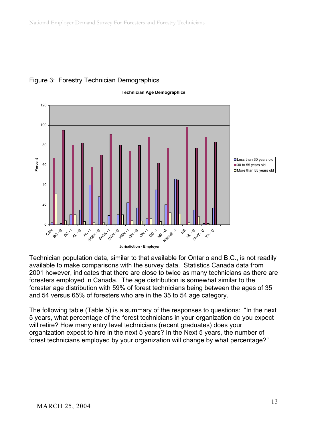

### Figure 3: Forestry Technician Demographics

 Technician population data, similar to that available for Ontario and B.C., is not readily available to make comparisons with the survey data. Statistics Canada data from 2001 however, indicates that there are close to twice as many technicians as there are foresters employed in Canada. The age distribution is somewhat similar to the forester age distribution with 59% of forest technicians being between the ages of 35 and 54 versus 65% of foresters who are in the 35 to 54 age category.

The following table (Table 5) is a summary of the responses to questions: "In the next 5 years, what percentage of the forest technicians in your organization do you expect will retire? How many entry level technicians (recent graduates) does your organization expect to hire in the next 5 years? In the Next 5 years, the number of forest technicians employed by your organization will change by what percentage?"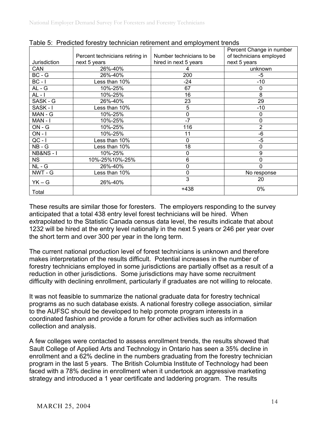|                    |                                 |                          | Percent Change in number |
|--------------------|---------------------------------|--------------------------|--------------------------|
|                    | Percent technicians retiring in | Number technicians to be | of technicians employed  |
| Jurisdiction       | next 5 years                    | hired in next 5 years    | next 5 years             |
| CAN                | 26%-40%                         |                          | unknown                  |
| $BC - G$           | 26%-40%                         | 200                      | -5                       |
| $BC - I$           | Less than 10%                   | $-24$                    | $-10$                    |
| $AL - G$           | 10%-25%                         | 67                       | 0                        |
| $AL - I$           | 10%-25%                         | 16                       | 8                        |
| SASK - G           | 26%-40%                         | 23                       | 29                       |
| SASK-I             | Less than 10%                   | 5                        | $-10$                    |
| MAN - G            | 10%-25%                         | 0                        | 0                        |
| MAN-I              | 10%-25%                         | $-7$                     | 0                        |
| $ON - G$           | 10%-25%                         | 116                      | $\overline{2}$           |
| $ON - I$           | 10%-25%                         | 11                       | $-6$                     |
| $QC - I$           | Less than 10%                   | 0                        | $-5$                     |
| $NB - G$           | ess than 10%                    | 18                       | 0                        |
| <b>NB&amp;NS-1</b> | 10%-25%                         | 0                        | 9                        |
| <b>NS</b>          | 10%-25%10%-25%                  | 6                        | 0                        |
| $NL - G$           | 26%-40%                         | 0                        | $\mathbf 0$              |
| NWT - G            | Less than 10%                   | 0                        | No response              |
| $YK - G$           | 26%-40%                         | 3                        | 20                       |
| Total              |                                 | +438                     | 0%                       |

|  |  |  | Table 5: Predicted forestry technician retirement and employment trends |
|--|--|--|-------------------------------------------------------------------------|
|  |  |  |                                                                         |

These results are similar those for foresters. The employers responding to the survey anticipated that a total 438 entry level forest technicians will be hired. When extrapolated to the Statistic Canada census data level, the results indicate that about 1232 will be hired at the entry level nationally in the next 5 years or 246 per year over the short term and over 300 per year in the long term.

The current national production level of forest technicians is unknown and therefore makes interpretation of the results difficult. Potential increases in the number of forestry technicians employed in some jurisdictions are partially offset as a result of a reduction in other jurisdictions. Some jurisdictions may have some recruitment difficulty with declining enrollment, particularly if graduates are not willing to relocate.

It was not feasible to summarize the national graduate data for forestry technical programs as no such database exists. A national forestry college association, similar to the AUFSC should be developed to help promote program interests in a coordinated fashion and provide a forum for other activities such as information collection and analysis.

A few colleges were contacted to assess enrollment trends, the results showed that Sault College of Applied Arts and Technology in Ontario has seen a 35% decline in enrollment and a 62% decline in the numbers graduating from the forestry technician program in the last 5 years. The British Columbia Institute of Technology had been faced with a 78% decline in enrollment when it undertook an aggressive marketing strategy and introduced a 1 year certificate and laddering program. The results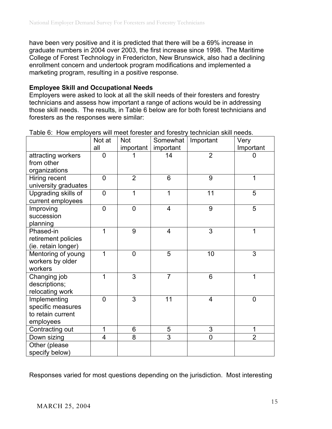have been very positive and it is predicted that there will be a 69% increase in graduate numbers in 2004 over 2003, the first increase since 1998. The Maritime College of Forest Technology in Fredericton, New Brunswick, also had a declining enrollment concern and undertook program modifications and implemented a marketing program, resulting in a positive response.

### **Employee Skill and Occupational Needs**

Employers were asked to look at all the skill needs of their foresters and forestry technicians and assess how important a range of actions would be in addressing those skill needs. The results, in Table 6 below are for both forest technicians and foresters as the responses were similar:

|                      | Not at         | <b>Not</b>     | Somewhat       | Important      | Very           |
|----------------------|----------------|----------------|----------------|----------------|----------------|
|                      | all            | important      | important      |                | Important      |
| attracting workers   | 0              |                | 14             | $\overline{2}$ | 0              |
| from other           |                |                |                |                |                |
| organizations        |                |                |                |                |                |
| Hiring recent        | $\overline{0}$ | $\overline{2}$ | 6              | 9              | 1              |
| university graduates |                |                |                |                |                |
| Upgrading skills of  | 0              | 1              | 1              | 11             | 5              |
| current employees    |                |                |                |                |                |
| Improving            | $\overline{0}$ | $\overline{0}$ | $\overline{4}$ | 9              | $\overline{5}$ |
| succession           |                |                |                |                |                |
| planning             |                |                |                |                |                |
| Phased-in            | 1              | 9              | 4              | $\overline{3}$ | 1              |
| retirement policies  |                |                |                |                |                |
| (ie. retain longer)  |                |                |                |                |                |
| Mentoring of young   | 1              | $\overline{0}$ | 5              | 10             | 3              |
| workers by older     |                |                |                |                |                |
| workers              |                |                |                |                |                |
| Changing job         | 1              | 3              | $\overline{7}$ | 6              | 1              |
| descriptions;        |                |                |                |                |                |
| relocating work      |                |                |                |                |                |
| Implementing         | $\Omega$       | 3              | 11             | 4              | $\overline{0}$ |
| specific measures    |                |                |                |                |                |
| to retain current    |                |                |                |                |                |
| employees            |                |                |                |                |                |
| Contracting out      | 1              | 6              | 5              | 3              | 1              |
| Down sizing          | 4              | 8              | $\overline{3}$ | $\overline{0}$ | $\overline{2}$ |
| Other (please        |                |                |                |                |                |
| specify below)       |                |                |                |                |                |

Table 6: How employers will meet forester and forestry technician skill needs.

Responses varied for most questions depending on the jurisdiction. Most interesting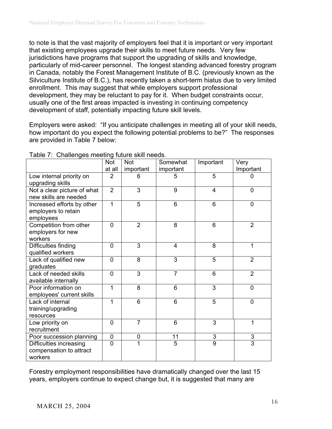to note is that the vast majority of employers feel that it is important or very important that existing employees upgrade their skills to meet future needs. Very few jurisdictions have programs that support the upgrading of skills and knowledge, particularly of mid-career personnel. The longest standing advanced forestry program in Canada, notably the Forest Management Institute of B.C. (previously known as the Silviculture Institute of B.C.), has recently taken a short-term hiatus due to very limited enrollment. This may suggest that while employers support professional development, they may be reluctant to pay for it. When budget constraints occur, usually one of the first areas impacted is investing in continuing competency development of staff, potentially impacting future skill levels.

Employers were asked: "If you anticipate challenges in meeting all of your skill needs, how important do you expect the following potential problems to be?" The responses are provided in Table 7 below:

| .                           | <b>Not</b>     | <b>Not</b>     | Somewhat       | Important      | Very           |
|-----------------------------|----------------|----------------|----------------|----------------|----------------|
|                             | at all         | important      | important      |                | Important      |
| Low internal priority on    | 2              | 6              | 5              | 5              |                |
| upgrading skills            |                |                |                |                |                |
| Not a clear picture of what | $\overline{2}$ | 3              | 9              | $\overline{4}$ | 0              |
| new skills are needed       |                |                |                |                |                |
| Increased efforts by other  | 1              | 5              | 6              | 6              | 0              |
| employers to retain         |                |                |                |                |                |
| employees                   |                |                |                |                |                |
| Competition from other      | $\overline{0}$ | $\overline{2}$ | 8              | 6              | $\overline{2}$ |
| employers for new           |                |                |                |                |                |
| workers                     |                |                |                |                |                |
| Difficulties finding        | 0              | 3              | 4              | 8              | 1              |
| qualified workers           |                |                |                |                |                |
| Lack of qualified new       | 0              | 8              | 3              | 5              | $\overline{2}$ |
| graduates                   |                |                |                |                |                |
| Lack of needed skills       | 0              | 3              | $\overline{7}$ | 6              | $\overline{2}$ |
| available internally        |                |                |                |                |                |
| Poor information on         | 1              | 8              | 6              | 3              | 0              |
| employees' current skills   |                |                |                |                |                |
| Lack of internal            | 1              | 6              | 6              | 5              | $\overline{0}$ |
| training/upgrading          |                |                |                |                |                |
| resources                   |                |                |                |                |                |
| Low priority on             | 0              | $\overline{7}$ | 6              | 3              | 1              |
| recruitment                 |                |                |                |                |                |
| Poor succession planning    | 0              | 0              | 11             | 3              | 3              |
| Difficulties increasing     | $\overline{0}$ | 1              | 5              | $\overline{9}$ | $\overline{3}$ |
| compensation to attract     |                |                |                |                |                |
| workers                     |                |                |                |                |                |

Table 7: Challenges meeting future skill needs.

Forestry employment responsibilities have dramatically changed over the last 15 years, employers continue to expect change but, it is suggested that many are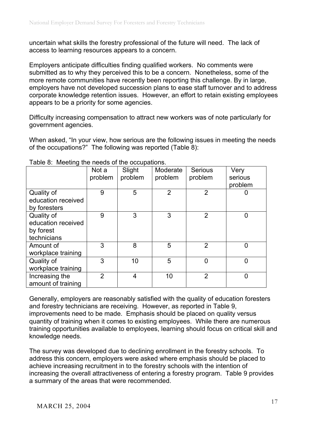uncertain what skills the forestry professional of the future will need. The lack of access to learning resources appears to a concern.

Employers anticipate difficulties finding qualified workers. No comments were submitted as to why they perceived this to be a concern. Nonetheless, some of the more remote communities have recently been reporting this challenge. By in large, employers have not developed succession plans to ease staff turnover and to address corporate knowledge retention issues. However, an effort to retain existing employees appears to be a priority for some agencies.

Difficulty increasing compensation to attract new workers was of note particularly for government agencies.

When asked, "In your view, how serious are the following issues in meeting the needs of the occupations?" The following was reported (Table 8):

|                                                              | Not a<br>problem | Slight<br>problem | Moderate<br>problem | Serious<br>problem | Very<br>serious<br>problem |
|--------------------------------------------------------------|------------------|-------------------|---------------------|--------------------|----------------------------|
| Quality of<br>education received<br>by foresters             | 9                | 5                 | $\overline{2}$      | $\overline{2}$     | 0                          |
| Quality of<br>education received<br>by forest<br>technicians | 9                | 3                 | 3                   | $\overline{2}$     | 0                          |
| Amount of<br>workplace training                              | 3                | 8                 | 5                   | $\overline{2}$     | $\mathbf 0$                |
| Quality of<br>workplace training                             | 3                | 10                | 5                   | $\overline{0}$     | 0                          |
| Increasing the<br>amount of training                         | $\overline{2}$   | 4                 | 10                  | $\overline{2}$     | 0                          |

Table 8: Meeting the needs of the occupations.

Generally, employers are reasonably satisfied with the quality of education foresters and forestry technicians are receiving. However, as reported in Table 9, improvements need to be made. Emphasis should be placed on quality versus quantity of training when it comes to existing employees. While there are numerous training opportunities available to employees, learning should focus on critical skill and knowledge needs.

The survey was developed due to declining enrollment in the forestry schools. To address this concern, employers were asked where emphasis should be placed to achieve increasing recruitment in to the forestry schools with the intention of increasing the overall attractiveness of entering a forestry program. Table 9 provides a summary of the areas that were recommended.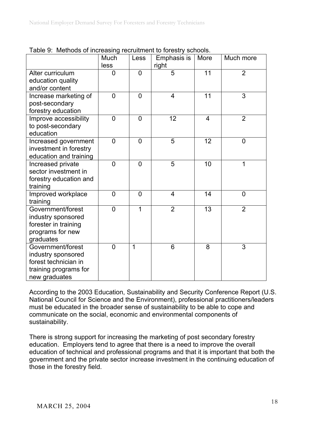|                                                                                                           | Much<br>less   | Less           | Emphasis is<br>right | More | Much more      |
|-----------------------------------------------------------------------------------------------------------|----------------|----------------|----------------------|------|----------------|
| Alter curriculum<br>education quality<br>and/or content                                                   | 0              | $\overline{0}$ | $\overline{5}$       | 11   | $\overline{2}$ |
| Increase marketing of<br>post-secondary<br>forestry education                                             | $\overline{0}$ | $\overline{0}$ | $\overline{4}$       | 11   | 3              |
| Improve accessibility<br>to post-secondary<br>education                                                   | $\overline{0}$ | $\overline{0}$ | 12                   | 4    | $\overline{2}$ |
| Increased government<br>investment in forestry<br>education and training                                  | $\overline{0}$ | $\overline{0}$ | 5                    | 12   | $\overline{0}$ |
| Increased private<br>sector investment in<br>forestry education and<br>training                           | $\overline{0}$ | $\overline{0}$ | 5                    | 10   | 1              |
| Improved workplace<br>training                                                                            | $\overline{0}$ | $\overline{0}$ | 4                    | 14   | $\overline{0}$ |
| Government/forest<br>industry sponsored<br>forester in training<br>programs for new<br>graduates          | $\overline{0}$ | 1              | $\overline{2}$       | 13   | $\overline{2}$ |
| Government/forest<br>industry sponsored<br>forest technician in<br>training programs for<br>new graduates | $\overline{0}$ | 1              | 6                    | 8    | 3              |

Table 9: Methods of increasing recruitment to forestry schools.

According to the 2003 Education, Sustainability and Security Conference Report (U.S. National Council for Science and the Environment), professional practitioners/leaders must be educated in the broader sense of sustainability to be able to cope and communicate on the social, economic and environmental components of sustainability.

There is strong support for increasing the marketing of post secondary forestry education. Employers tend to agree that there is a need to improve the overall education of technical and professional programs and that it is important that both the government and the private sector increase investment in the continuing education of those in the forestry field.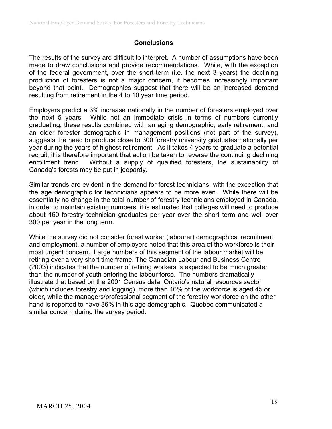### **Conclusions**

The results of the survey are difficult to interpret. A number of assumptions have been made to draw conclusions and provide recommendations. While, with the exception of the federal government, over the short-term (i.e. the next 3 years) the declining production of foresters is not a major concern, it becomes increasingly important beyond that point. Demographics suggest that there will be an increased demand resulting from retirement in the 4 to 10 year time period.

Employers predict a 3% increase nationally in the number of foresters employed over the next 5 years. While not an immediate crisis in terms of numbers currently graduating, these results combined with an aging demographic, early retirement, and an older forester demographic in management positions (not part of the survey), suggests the need to produce close to 300 forestry university graduates nationally per year during the years of highest retirement. As it takes 4 years to graduate a potential recruit, it is therefore important that action be taken to reverse the continuing declining enrollment trend. Without a supply of qualified foresters, the sustainability of Canada's forests may be put in jeopardy.

Similar trends are evident in the demand for forest technicians, with the exception that the age demographic for technicians appears to be more even. While there will be essentially no change in the total number of forestry technicians employed in Canada, in order to maintain existing numbers, it is estimated that colleges will need to produce about 160 forestry technician graduates per year over the short term and well over 300 per year in the long term.

While the survey did not consider forest worker (labourer) demographics, recruitment and employment, a number of employers noted that this area of the workforce is their most urgent concern. Large numbers of this segment of the labour market will be retiring over a very short time frame. The Canadian Labour and Business Centre (2003) indicates that the number of retiring workers is expected to be much greater than the number of youth entering the labour force. The numbers dramatically illustrate that based on the 2001 Census data, Ontario's natural resources sector (which includes forestry and logging), more than 46% of the workforce is aged 45 or older, while the managers/professional segment of the forestry workforce on the other hand is reported to have 36% in this age demographic. Quebec communicated a similar concern during the survey period.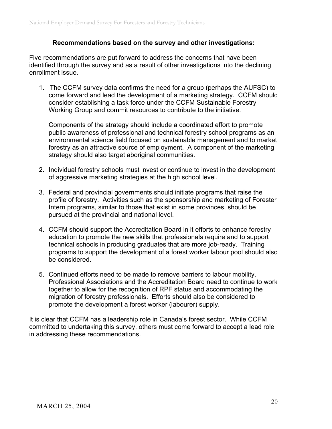### **Recommendations based on the survey and other investigations:**

Five recommendations are put forward to address the concerns that have been identified through the survey and as a result of other investigations into the declining enrollment issue.

1. The CCFM survey data confirms the need for a group (perhaps the AUFSC) to come forward and lead the development of a marketing strategy. CCFM should consider establishing a task force under the CCFM Sustainable Forestry Working Group and commit resources to contribute to the initiative.

Components of the strategy should include a coordinated effort to promote public awareness of professional and technical forestry school programs as an environmental science field focused on sustainable management and to market forestry as an attractive source of employment. A component of the marketing strategy should also target aboriginal communities.

- 2. Individual forestry schools must invest or continue to invest in the development of aggressive marketing strategies at the high school level.
- 3. Federal and provincial governments should initiate programs that raise the profile of forestry. Activities such as the sponsorship and marketing of Forester Intern programs, similar to those that exist in some provinces, should be pursued at the provincial and national level.
- 4. CCFM should support the Accreditation Board in it efforts to enhance forestry education to promote the new skills that professionals require and to support technical schools in producing graduates that are more job-ready. Training programs to support the development of a forest worker labour pool should also be considered.
- 5. Continued efforts need to be made to remove barriers to labour mobility. Professional Associations and the Accreditation Board need to continue to work together to allow for the recognition of RPF status and accommodating the migration of forestry professionals. Efforts should also be considered to promote the development a forest worker (labourer) supply.

It is clear that CCFM has a leadership role in Canada's forest sector. While CCFM committed to undertaking this survey, others must come forward to accept a lead role in addressing these recommendations.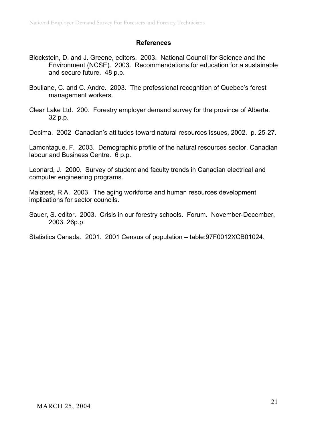### **References**

- Blockstein, D. and J. Greene, editors. 2003. National Council for Science and the Environment (NCSE). 2003. Recommendations for education for a sustainable and secure future. 48 p.p.
- Bouliane, C. and C. Andre. 2003. The professional recognition of Quebec's forest management workers.
- Clear Lake Ltd. 200. Forestry employer demand survey for the province of Alberta. 32 p.p.

Decima. 2002 Canadian's attitudes toward natural resources issues, 2002. p. 25-27.

Lamontague, F. 2003. Demographic profile of the natural resources sector, Canadian labour and Business Centre. 6 p.p.

Leonard, J. 2000. Survey of student and faculty trends in Canadian electrical and computer engineering programs.

Malatest, R.A. 2003. The aging workforce and human resources development implications for sector councils.

Sauer, S. editor. 2003. Crisis in our forestry schools. Forum. November-December, 2003. 26p.p.

Statistics Canada. 2001. 2001 Census of population – table:97F0012XCB01024.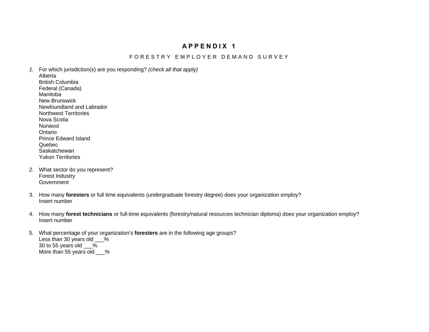# **APPENDIX 1**

#### FORESTRY EMPLOYER DEMAND SURVEY

- *1.* For which jurisdiction(s) are you responding? *(check all that apply)*  Alberta British Columbia Federal (Canada) Manitoba New Brunswick Newfoundland and Labrador Northwest Territories Nova Scotia Nunavut Ontario Prince Edward Island Quebec **Saskatchewan** Yukon Territories
- 2. What sector do you represent? Forest Industry Government
- 3. How many **foresters** or full time equivalents (undergraduate forestry degree) does your organization employ? Insert number
- 4. How many **forest technicians** or full-time equivalents (forestry/natural resources technician diploma) does your organization employ? Insert number
- 5. What percentage of your organization's **foresters** are in the following age groups? Less than 30 years old \_\_\_% 30 to 55 years old  $\frac{9}{6}$ More than 55 years old \_\_\_%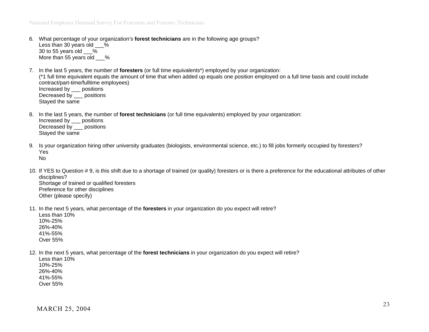- 6. What percentage of your organization's **forest technicians** are in the following age groups? Less than 30 years old % 30 to 55 years old  $\frac{9}{6}$ More than 55 years old %
- 7. In the last 5 years, the number of **foresters** (or full time equivalents\*) employed by your organization: (\*1 full time equivalent equals the amount of time that when added up equals one position employed on a full time basis and could include contract/part-time/fulltime employees) Increased by \_\_\_ positions Decreased by positions Stayed the same
- 8. In the last 5 years, the number of **forest technicians** (or full time equivalents) employed by your organization:

Increased by \_\_\_ positions Decreased by \_\_\_ positions Stayed the same

- 9. Is your organization hiring other university graduates (biologists, environmental science, etc.) to fill jobs formerly occupied by foresters? Yes No
- 10. If YES to Question # 9, is this shift due to a shortage of trained (or quality) foresters or is there a preference for the educational attributes of other disciplines? Shortage of trained or qualified foresters Preference for other disciplines Other (please specify)
- 11. In the next 5 years, what percentage of the **foresters** in your organization do you expect will retire?

Less than 10% 10%-25% 26%-40% 41%-55% Over 55%

12. In the next 5 years, what percentage of the **forest technicians** in your organization do you expect will retire?

Less than 10% 10%-25% 26%-40% 41%-55% Over 55%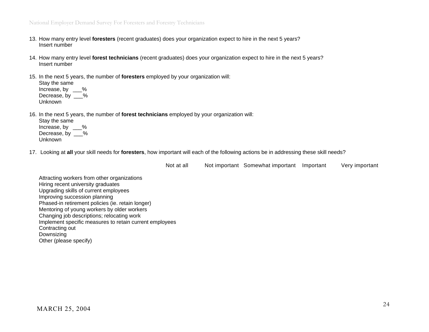- 13. How many entry level **foresters** (recent graduates) does your organization expect to hire in the next 5 years? Insert number
- 14. How many entry level **forest technicians** (recent graduates) does your organization expect to hire in the next 5 years? Insert number
- 15. In the next 5 years, the number of **foresters** employed by your organization will:

Stay the same Increase, by % Decrease, by \_\_\_% Unknown

16. In the next 5 years, the number of **forest technicians** employed by your organization will:

Stay the same Increase, by % Decrease, by \_\_\_% Unknown

17. Looking at **all** your skill needs for **foresters**, how important will each of the following actions be in addressing these skill needs?

Not at all Not important Somewhat important Important Very important

Attracting workers from other organizations Hiring recent university graduates Upgrading skills of current employees Improving succession planning Phased-in retirement policies (ie. retain longer) Mentoring of young workers by older workers Changing job descriptions; relocating work Implement specific measures to retain current employees Contracting out Downsizing Other (please specify)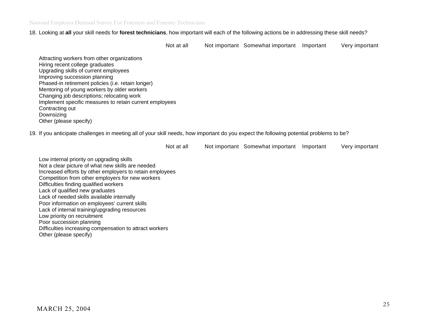National Employer Demand Survey For Foresters and Forestry Technicians

18. Looking at **all** your skill needs for **forest technicians**, how important will each of the following actions be in addressing these skill needs?

Not at all Not important Somewhat important Important Very important

Attracting workers from other organizations Hiring recent college graduates Upgrading skills of current employees Improving succession planning Phased-in retirement policies (i.e. retain longer) Mentoring of young workers by older workers Changing job descriptions; relocating work Implement specific measures to retain current employees Contracting out Downsizing Other (please specify)

19. If you anticipate challenges in meeting all of your skill needs, how important do you expect the following potential problems to be?

Not at all Not important Somewhat important Important Very important

Low internal priority on upgrading skills Not a clear picture of what new skills are needed Increased efforts by other employers to retain employees Competition from other employers for new workers Difficulties finding qualified workers Lack of qualified new graduates Lack of needed skills available internally Poor information on employees' current skills Lack of internal training/upgrading resources Low priority on recruitment Poor succession planning Difficulties increasing compensation to attract workers Other (please specify)